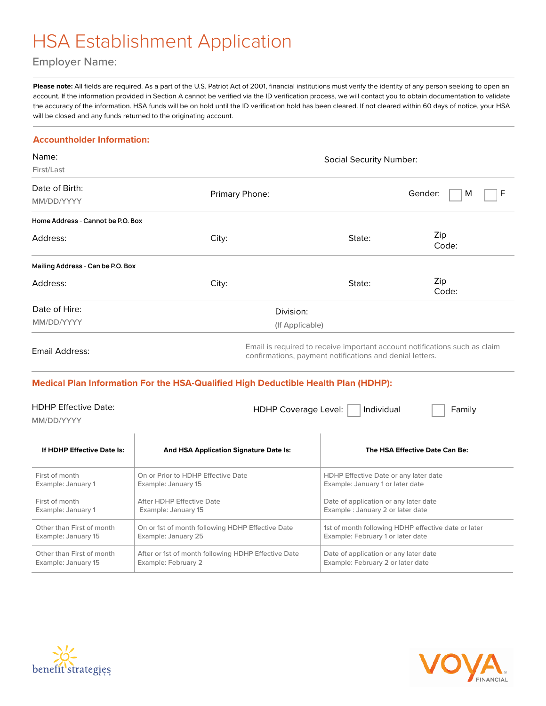## HSA Establishment Application

### Employer Name:

Please note: All fields are required. As a part of the U.S. Patriot Act of 2001, financial institutions must verify the identity of any person seeking to open an account. If the information provided in Section A cannot be verified via the ID verification process, we will contact you to obtain documentation to validate the accuracy of the information. HSA funds will be on hold until the ID verification hold has been cleared. If not cleared within 60 days of notice, your HSA will be closed and any funds returned to the originating account.

### **Accountholder Information:**

| Name:<br>First/Last                       |                                                                                                                                        | <b>Social Security Number:</b>                                            |                                |  |  |
|-------------------------------------------|----------------------------------------------------------------------------------------------------------------------------------------|---------------------------------------------------------------------------|--------------------------------|--|--|
| Date of Birth:<br>MM/DD/YYYY              | Primary Phone:                                                                                                                         |                                                                           | Gender:<br>F<br>M              |  |  |
| Home Address - Cannot be P.O. Box         |                                                                                                                                        |                                                                           |                                |  |  |
| Address:                                  | City:                                                                                                                                  | State:                                                                    | Zip<br>Code:                   |  |  |
| Mailing Address - Can be P.O. Box         |                                                                                                                                        |                                                                           |                                |  |  |
| Address:                                  | City:                                                                                                                                  | State:                                                                    | Zip<br>Code:                   |  |  |
| Date of Hire:                             | Division:                                                                                                                              |                                                                           |                                |  |  |
| MM/DD/YYYY                                | (If Applicable)                                                                                                                        |                                                                           |                                |  |  |
| Email Address:                            | Email is required to receive important account notifications such as claim<br>confirmations, payment notifications and denial letters. |                                                                           |                                |  |  |
|                                           | Medical Plan Information For the HSA-Qualified High Deductible Health Plan (HDHP):                                                     |                                                                           |                                |  |  |
| <b>HDHP Effective Date:</b><br>MM/DD/YYYY | <b>HDHP Coverage Level:</b>                                                                                                            | Individual                                                                | Family                         |  |  |
| If HDHP Effective Date Is:                | <b>And HSA Application Signature Date Is:</b>                                                                                          |                                                                           | The HSA Effective Date Can Be: |  |  |
| First of month<br>Example: January 1      | On or Prior to HDHP Effective Date<br>Example: January 15                                                                              | HDHP Effective Date or any later date<br>Example: January 1 or later date |                                |  |  |





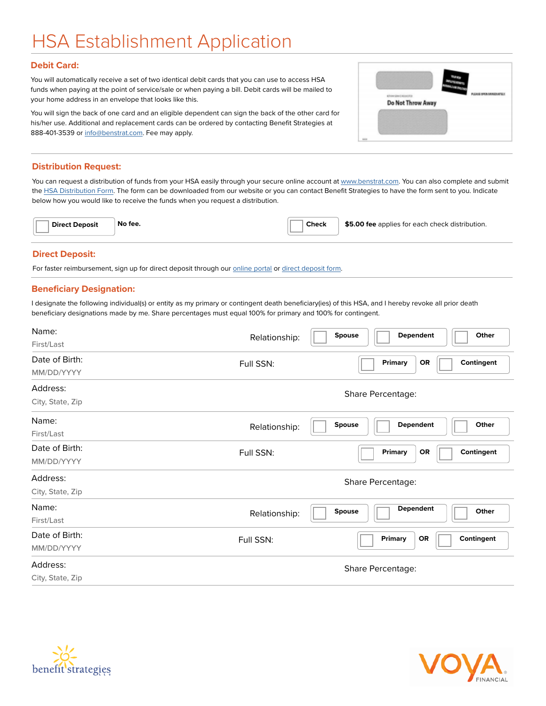# HSA Establishment Application

#### **Debit Card:**

You will automatically receive a set of two identical debit cards that you can use to access HSA funds when paying at the point of service/sale or when paying a bill. Debit cards will be mailed to your home address in an envelope that looks like this.

You will sign the back of one card and an eligible dependent can sign the back of the other card for his/her use. Additional and replacement cards can be ordered by contacting Benefit Strategies at 888-401-3539 or [info@benstrat.com.](mailto:info@benstrat.com) Fee may apply.

### **Distribution Request:**

You can request a distribution of funds from your HSA easily through your secure online account at [www.benstrat.com](http://www.benstrat.com). You can also complete and submit the [HSA Distribution Form](https://www.benstrat.com/downloads/HSA-Distribution-Request-Form.pdf). The form can be downloaded from our website or you can contact Benefit Strategies to have the form sent to you. Indicate below how you would like to receive the funds when you request a distribution.

| No fee.<br><b>Check</b><br>\$5.00 fee applies for each check distribution.<br><b>Direct Deposit</b> |
|-----------------------------------------------------------------------------------------------------|
|-----------------------------------------------------------------------------------------------------|

#### **Direct Deposit:**

For faster reimbursement, sign up for direct deposit through our [online portal](https://benstrat.navigatorsuite.com/Login.aspx?ReturnUrl=%2fLogin) or [direct deposit form](https://www.benstrat.com/downloads/Direct_Deposit_Authorization_Form.pdf).

#### **Beneficiary Designation:**

I designate the following individual(s) or entity as my primary or contingent death beneficiary(ies) of this HSA, and I hereby revoke all prior death beneficiary designations made by me. Share percentages must equal 100% for primary and 100% for contingent.

| Name:            | Dependent<br>Other<br><b>Spouse</b>             |  |  |
|------------------|-------------------------------------------------|--|--|
| First/Last       | Relationship:                                   |  |  |
| Date of Birth:   | Contingent<br>Primary<br><b>OR</b><br>Full SSN: |  |  |
| MM/DD/YYYY       |                                                 |  |  |
| Address:         | Share Percentage:                               |  |  |
| City, State, Zip |                                                 |  |  |
| Name:            | Dependent<br>Other<br>Spouse<br>Relationship:   |  |  |
| First/Last       |                                                 |  |  |
| Date of Birth:   | Contingent<br>Primary<br>OR<br>Full SSN:        |  |  |
| MM/DD/YYYY       |                                                 |  |  |
| Address:         | Share Percentage:                               |  |  |
| City, State, Zip |                                                 |  |  |
| Name:            | <b>Dependent</b><br>Spouse<br>Other             |  |  |
| First/Last       | Relationship:                                   |  |  |
| Date of Birth:   | Contingent<br>Primary<br><b>OR</b><br>Full SSN: |  |  |
| MM/DD/YYYY       |                                                 |  |  |
| Address:         | Share Percentage:                               |  |  |
| City, State, Zip |                                                 |  |  |